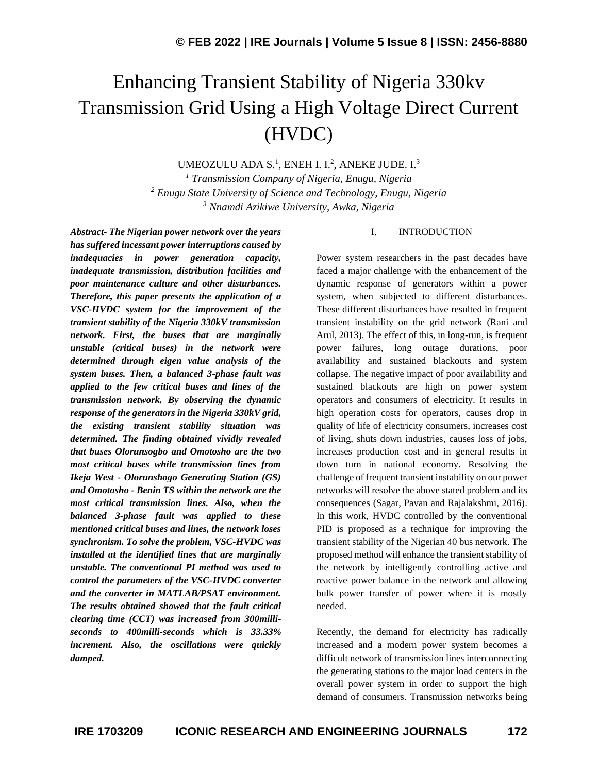# Enhancing Transient Stability of Nigeria 330kv Transmission Grid Using a High Voltage Direct Current (HVDC)

UMEOZULU ADA S.<sup>1</sup>, ENEH I. I.<sup>2</sup>, ANEKE JUDE. I.<sup>3</sup>

*<sup>1</sup> Transmission Company of Nigeria, Enugu, Nigeria <sup>2</sup> Enugu State University of Science and Technology, Enugu, Nigeria <sup>3</sup> Nnamdi Azikiwe University, Awka, Nigeria*

*Abstract- The Nigerian power network over the years has suffered incessant power interruptions caused by inadequacies in power generation capacity, inadequate transmission, distribution facilities and poor maintenance culture and other disturbances. Therefore, this paper presents the application of a VSC-HVDC system for the improvement of the transient stability of the Nigeria 330kV transmission network. First, the buses that are marginally unstable (critical buses) in the network were determined through eigen value analysis of the system buses. Then, a balanced 3-phase fault was applied to the few critical buses and lines of the transmission network. By observing the dynamic response of the generators in the Nigeria 330kV grid, the existing transient stability situation was determined. The finding obtained vividly revealed that buses Olorunsogbo and Omotosho are the two most critical buses while transmission lines from Ikeja West - Olorunshogo Generating Station (GS) and Omotosho - Benin TS within the network are the most critical transmission lines. Also, when the balanced 3-phase fault was applied to these mentioned critical buses and lines, the network loses synchronism. To solve the problem, VSC-HVDC was installed at the identified lines that are marginally unstable. The conventional PI method was used to control the parameters of the VSC-HVDC converter and the converter in MATLAB/PSAT environment. The results obtained showed that the fault critical clearing time (CCT) was increased from 300milliseconds to 400milli-seconds which is 33.33% increment. Also, the oscillations were quickly damped.*

#### I. INTRODUCTION

Power system researchers in the past decades have faced a major challenge with the enhancement of the dynamic response of generators within a power system, when subjected to different disturbances. These different disturbances have resulted in frequent transient instability on the grid network (Rani and Arul, 2013). The effect of this, in long-run, is frequent power failures, long outage durations, poor availability and sustained blackouts and system collapse. The negative impact of poor availability and sustained blackouts are high on power system operators and consumers of electricity. It results in high operation costs for operators, causes drop in quality of life of electricity consumers, increases cost of living, shuts down industries, causes loss of jobs, increases production cost and in general results in down turn in national economy. Resolving the challenge of frequent transient instability on our power networks will resolve the above stated problem and its consequences (Sagar, Pavan and Rajalakshmi, 2016). In this work, HVDC controlled by the conventional PID is proposed as a technique for improving the transient stability of the Nigerian 40 bus network. The proposed method will enhance the transient stability of the network by intelligently controlling active and reactive power balance in the network and allowing bulk power transfer of power where it is mostly needed.

Recently, the demand for electricity has radically increased and a modern power system becomes a difficult network of transmission lines interconnecting the generating stations to the major load centers in the overall power system in order to support the high demand of consumers. Transmission networks being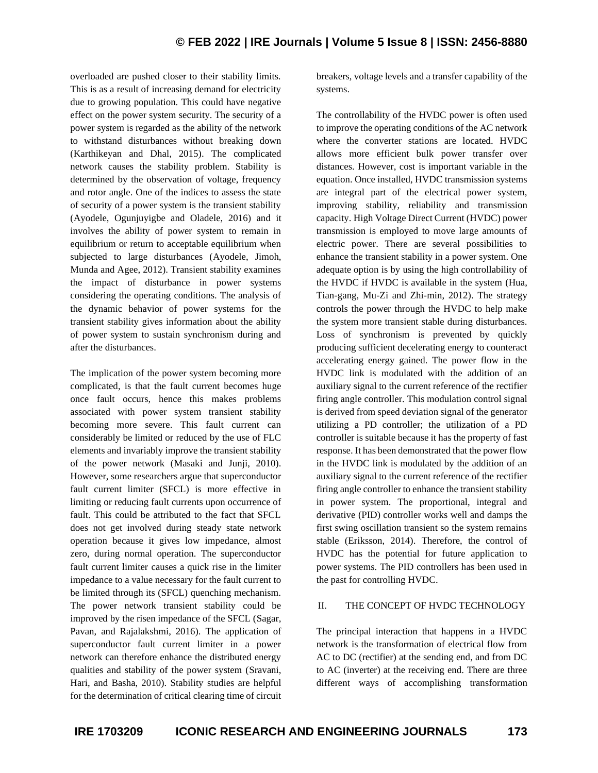overloaded are pushed closer to their stability limits. This is as a result of increasing demand for electricity due to growing population. This could have negative effect on the power system security. The security of a power system is regarded as the ability of the network to withstand disturbances without breaking down (Karthikeyan and Dhal, 2015). The complicated network causes the stability problem. Stability is determined by the observation of voltage, frequency and rotor angle. One of the indices to assess the state of security of a power system is the transient stability (Ayodele, Ogunjuyigbe and Oladele, 2016) and it involves the ability of power system to remain in equilibrium or return to acceptable equilibrium when subjected to large disturbances (Ayodele, Jimoh, Munda and Agee, 2012). Transient stability examines the impact of disturbance in power systems considering the operating conditions. The analysis of the dynamic behavior of power systems for the transient stability gives information about the ability of power system to sustain synchronism during and after the disturbances.

The implication of the power system becoming more complicated, is that the fault current becomes huge once fault occurs, hence this makes problems associated with power system transient stability becoming more severe. This fault current can considerably be limited or reduced by the use of FLC elements and invariably improve the transient stability of the power network (Masaki and Junji, 2010). However, some researchers argue that superconductor fault current limiter (SFCL) is more effective in limiting or reducing fault currents upon occurrence of fault. This could be attributed to the fact that SFCL does not get involved during steady state network operation because it gives low impedance, almost zero, during normal operation. The superconductor fault current limiter causes a quick rise in the limiter impedance to a value necessary for the fault current to be limited through its (SFCL) quenching mechanism. The power network transient stability could be improved by the risen impedance of the SFCL (Sagar, Pavan, and Rajalakshmi, 2016). The application of superconductor fault current limiter in a power network can therefore enhance the distributed energy qualities and stability of the power system (Sravani, Hari, and Basha, 2010). Stability studies are helpful for the determination of critical clearing time of circuit breakers, voltage levels and a transfer capability of the systems.

The controllability of the HVDC power is often used to improve the operating conditions of the AC network where the converter stations are located. HVDC allows more efficient bulk power transfer over distances. However, cost is important variable in the equation. Once installed, HVDC transmission systems are integral part of the electrical power system, improving stability, reliability and transmission capacity. High Voltage Direct Current (HVDC) power transmission is employed to move large amounts of electric power. There are several possibilities to enhance the transient stability in a power system. One adequate option is by using the high controllability of the HVDC if HVDC is available in the system (Hua, Tian-gang, Mu-Zi and Zhi-min, 2012). The strategy controls the power through the HVDC to help make the system more transient stable during disturbances. Loss of synchronism is prevented by quickly producing sufficient decelerating energy to counteract accelerating energy gained. The power flow in the HVDC link is modulated with the addition of an auxiliary signal to the current reference of the rectifier firing angle controller. This modulation control signal is derived from speed deviation signal of the generator utilizing a PD controller; the utilization of a PD controller is suitable because it has the property of fast response. It has been demonstrated that the power flow in the HVDC link is modulated by the addition of an auxiliary signal to the current reference of the rectifier firing angle controller to enhance the transient stability in power system. The proportional, integral and derivative (PID) controller works well and damps the first swing oscillation transient so the system remains stable (Eriksson, 2014). Therefore, the control of HVDC has the potential for future application to power systems. The PID controllers has been used in the past for controlling HVDC.

#### II. THE CONCEPT OF HVDC TECHNOLOGY

The principal interaction that happens in a HVDC network is the transformation of electrical flow from AC to DC (rectifier) at the sending end, and from DC to AC (inverter) at the receiving end. There are three different ways of accomplishing transformation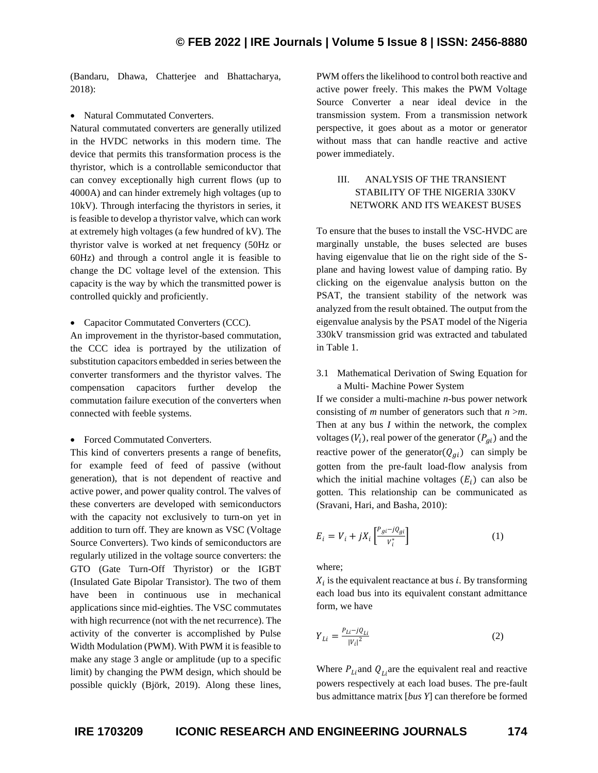(Bandaru, Dhawa, Chatterjee and Bhattacharya, 2018):

• Natural Commutated Converters.

Natural commutated converters are generally utilized in the HVDC networks in this modern time. The device that permits this transformation process is the thyristor, which is a controllable semiconductor that can convey exceptionally high current flows (up to 4000A) and can hinder extremely high voltages (up to 10kV). Through interfacing the thyristors in series, it is feasible to develop a thyristor valve, which can work at extremely high voltages (a few hundred of kV). The thyristor valve is worked at net frequency (50Hz or 60Hz) and through a control angle it is feasible to change the DC voltage level of the extension. This capacity is the way by which the transmitted power is controlled quickly and proficiently.

• Capacitor Commutated Converters (CCC).

An improvement in the thyristor-based commutation, the CCC idea is portrayed by the utilization of substitution capacitors embedded in series between the converter transformers and the thyristor valves. The compensation capacitors further develop the commutation failure execution of the converters when connected with feeble systems.

• Forced Commutated Converters.

This kind of converters presents a range of benefits, for example feed of feed of passive (without generation), that is not dependent of reactive and active power, and power quality control. The valves of these converters are developed with semiconductors with the capacity not exclusively to turn-on yet in addition to turn off. They are known as VSC (Voltage Source Converters). Two kinds of semiconductors are regularly utilized in the voltage source converters: the GTO (Gate Turn-Off Thyristor) or the IGBT (Insulated Gate Bipolar Transistor). The two of them have been in continuous use in mechanical applications since mid-eighties. The VSC commutates with high recurrence (not with the net recurrence). The activity of the converter is accomplished by Pulse Width Modulation (PWM). With PWM it is feasible to make any stage 3 angle or amplitude (up to a specific limit) by changing the PWM design, which should be possible quickly (Björk, 2019). Along these lines,

PWM offers the likelihood to control both reactive and active power freely. This makes the PWM Voltage Source Converter a near ideal device in the transmission system. From a transmission network perspective, it goes about as a motor or generator without mass that can handle reactive and active power immediately.

# III. ANALYSIS OF THE TRANSIENT STABILITY OF THE NIGERIA 330KV NETWORK AND ITS WEAKEST BUSES

To ensure that the buses to install the VSC-HVDC are marginally unstable, the buses selected are buses having eigenvalue that lie on the right side of the Splane and having lowest value of damping ratio. By clicking on the eigenvalue analysis button on the PSAT, the transient stability of the network was analyzed from the result obtained. The output from the eigenvalue analysis by the PSAT model of the Nigeria 330kV transmission grid was extracted and tabulated in Table 1.

3.1 Mathematical Derivation of Swing Equation for a Multi- Machine Power System

If we consider a multi-machine *n*-bus power network consisting of *m* number of generators such that *n* >*m*. Then at any bus *I* within the network, the complex voltages  $(V_i)$ , real power of the generator  $(P_{gi})$  and the reactive power of the generator( $Q_{qi}$ ) can simply be gotten from the pre-fault load-flow analysis from which the initial machine voltages  $(E_i)$  can also be gotten. This relationship can be communicated as (Sravani, Hari, and Basha, 2010):

$$
E_i = V_i + jX_i \left[ \frac{P_{gi} - jQ_{gi}}{V_i^*} \right] \tag{1}
$$

where;

 $X_i$  is the equivalent reactance at bus *i*. By transforming each load bus into its equivalent constant admittance form, we have

$$
Y_{Li} = \frac{P_{Li} - jQ_{Li}}{|V_i|^2}
$$
 (2)

Where  $P_{Li}$  and  $Q_{Li}$  are the equivalent real and reactive powers respectively at each load buses. The pre-fault bus admittance matrix [*bus Y*] can therefore be formed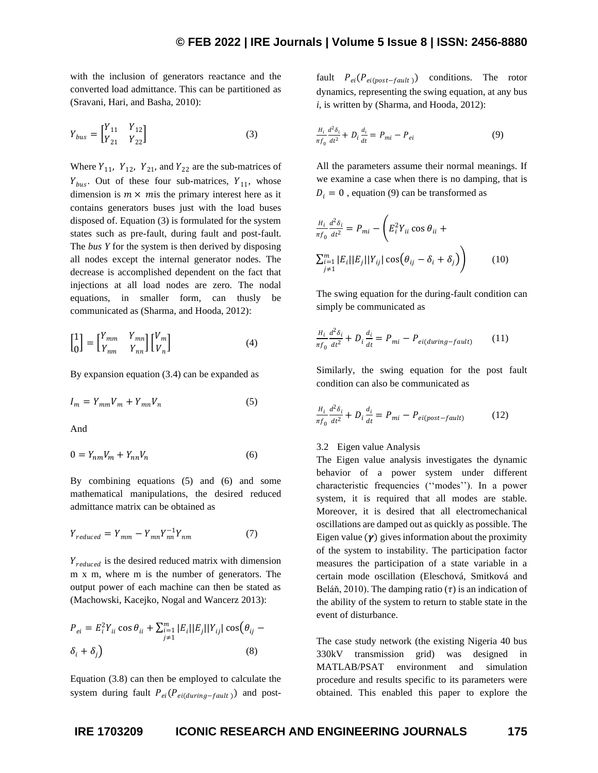with the inclusion of generators reactance and the converted load admittance. This can be partitioned as (Sravani, Hari, and Basha, 2010):

$$
Y_{bus} = \begin{bmatrix} Y_{11} & Y_{12} \\ Y_{21} & Y_{22} \end{bmatrix}
$$
 (3)

Where  $Y_{11}$ ,  $Y_{12}$ ,  $Y_{21}$ , and  $Y_{22}$  are the sub-matrices of  $Y_{bus}$ . Out of these four sub-matrices,  $Y_{11}$ , whose dimension is  $m \times m$  is the primary interest here as it contains generators buses just with the load buses disposed of. Equation (3) is formulated for the system states such as pre-fault, during fault and post-fault. The *bus Y* for the system is then derived by disposing all nodes except the internal generator nodes. The decrease is accomplished dependent on the fact that injections at all load nodes are zero. The nodal equations, in smaller form, can thusly be communicated as (Sharma, and Hooda, 2012):

$$
\begin{bmatrix} 1 \\ 0 \end{bmatrix} = \begin{bmatrix} Y_{mm} & Y_{mn} \\ Y_{nm} & Y_{nn} \end{bmatrix} \begin{bmatrix} V_m \\ V_n \end{bmatrix}
$$
 (4)

By expansion equation (3.4) can be expanded as

$$
I_m = Y_{mm}V_m + Y_{mn}V_n \tag{5}
$$

And

$$
0 = Y_{nm}V_m + Y_{nn}V_n \tag{6}
$$

By combining equations (5) and (6) and some mathematical manipulations, the desired reduced admittance matrix can be obtained as

$$
Y_{reduced} = Y_{mm} - Y_{mn} Y_{nn}^{-1} Y_{nm}
$$
 (7)

 $Y_{reduced}$  is the desired reduced matrix with dimension m x m, where m is the number of generators. The output power of each machine can then be stated as (Machowski, Kacejko, Nogal and Wancerz 2013):

$$
P_{ei} = E_i^2 Y_{ii} \cos \theta_{ii} + \sum_{\substack{j=1 \ j \neq 1}}^{m} |E_i| |E_j| |Y_{ij}| \cos (\theta_{ij} - \delta_i + \delta_j)
$$
\n(8)

Equation (3.8) can then be employed to calculate the system during fault  $P_{ei}(P_{ei(during-fault)})$  and post-

fault  $P_{ei}(P_{ei (post-fault)})$  conditions. The rotor dynamics, representing the swing equation, at any bus *i*, is written by (Sharma, and Hooda, 2012):

$$
\frac{H_i}{\pi f_0} \frac{d^2 \delta_i}{dt^2} + D_i \frac{d_i}{dt} = P_{mi} - P_{ei}
$$
\n<sup>(9)</sup>

All the parameters assume their normal meanings. If we examine a case when there is no damping, that is  $D_i = 0$ , equation (9) can be transformed as

$$
\frac{H_i}{\pi f_0} \frac{d^2 \delta_i}{dt^2} = P_{mi} - \left( E_i^2 Y_{ii} \cos \theta_{ii} + \sum_{\substack{i=1 \ j \neq 1}}^m |E_i| |Y_{ij}| \cos \left( \theta_{ij} - \delta_i + \delta_j \right) \right)
$$
(10)

The swing equation for the during-fault condition can simply be communicated as

$$
\frac{H_i}{\pi f_0} \frac{d^2 \delta_i}{dt^2} + D_i \frac{d_i}{dt} = P_{mi} - P_{ei(during-fault)} \tag{11}
$$

Similarly, the swing equation for the post fault condition can also be communicated as

$$
\frac{H_i}{\pi f_0} \frac{d^2 \delta_i}{dt^2} + D_i \frac{d_i}{dt} = P_{mi} - P_{ei(post-fault)} \tag{12}
$$

#### 3.2 Eigen value Analysis

The Eigen value analysis investigates the dynamic behavior of a power system under different characteristic frequencies (''modes''). In a power system, it is required that all modes are stable. Moreover, it is desired that all electromechanical oscillations are damped out as quickly as possible. The Eigen value  $(\gamma)$  gives information about the proximity of the system to instability. The participation factor measures the participation of a state variable in a certain mode oscillation (Eleschová, Smitková and Beláň, 2010). The damping ratio  $(\tau)$  is an indication of the ability of the system to return to stable state in the event of disturbance.

The case study network (the existing Nigeria 40 bus 330kV transmission grid) was designed in MATLAB/PSAT environment and simulation procedure and results specific to its parameters were obtained. This enabled this paper to explore the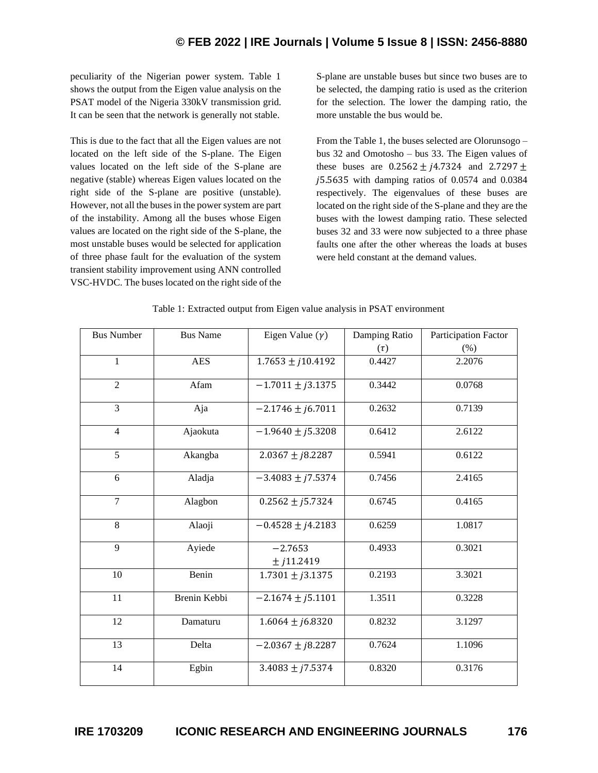# **© FEB 2022 | IRE Journals | Volume 5 Issue 8 | ISSN: 2456-8880**

peculiarity of the Nigerian power system. Table 1 shows the output from the Eigen value analysis on the PSAT model of the Nigeria 330kV transmission grid. It can be seen that the network is generally not stable.

This is due to the fact that all the Eigen values are not located on the left side of the S-plane. The Eigen values located on the left side of the S-plane are negative (stable) whereas Eigen values located on the right side of the S-plane are positive (unstable). However, not all the buses in the power system are part of the instability. Among all the buses whose Eigen values are located on the right side of the S-plane, the most unstable buses would be selected for application of three phase fault for the evaluation of the system transient stability improvement using ANN controlled VSC-HVDC. The buses located on the right side of the S-plane are unstable buses but since two buses are to be selected, the damping ratio is used as the criterion for the selection. The lower the damping ratio, the more unstable the bus would be.

From the Table 1, the buses selected are Olorunsogo – bus 32 and Omotosho – bus 33. The Eigen values of these buses are  $0.2562 \pm j4.7324$  and  $2.7297 \pm j4.7324$ 5.5635 with damping ratios of 0.0574 and 0.0384 respectively. The eigenvalues of these buses are located on the right side of the S-plane and they are the buses with the lowest damping ratio. These selected buses 32 and 33 were now subjected to a three phase faults one after the other whereas the loads at buses were held constant at the demand values.

| <b>Bus Number</b> | <b>Bus Name</b> | Eigen Value $(\gamma)$    | Damping Ratio | Participation Factor |
|-------------------|-----------------|---------------------------|---------------|----------------------|
|                   |                 |                           | $(\tau)$      | $(\% )$              |
| $\mathbf{1}$      | <b>AES</b>      | $1.7653 \pm j10.4192$     | 0.4427        | 2.2076               |
| $\overline{2}$    | Afam            | $-1.7011 \pm j3.1375$     | 0.3442        | 0.0768               |
| 3                 | Aja             | $-2.1746 \pm j6.7011$     | 0.2632        | 0.7139               |
| $\overline{4}$    | Ajaokuta        | $-1.9640 \pm j5.3208$     | 0.6412        | 2.6122               |
| 5                 | Akangba         | $2.0367 \pm i8.2287$      | 0.5941        | 0.6122               |
| 6                 | Aladja          | $-3.4083 \pm j7.5374$     | 0.7456        | 2.4165               |
| $\overline{7}$    | Alagbon         | $0.2562 \pm j5.7324$      | 0.6745        | 0.4165               |
| 8                 | Alaoji          | $-0.4528 \pm j4.2183$     | 0.6259        | 1.0817               |
| 9                 | Ayiede          | $-2.7653$<br>$±$ j11.2419 | 0.4933        | 0.3021               |
| $10\,$            | Benin           | $1.7301 \pm j3.1375$      | 0.2193        | 3.3021               |
| 11                | Brenin Kebbi    | $-2.1674 \pm j5.1101$     | 1.3511        | 0.3228               |
| 12                | Damaturu        | $1.6064 \pm j6.8320$      | 0.8232        | 3.1297               |
| 13                | Delta           | $-2.0367 \pm i8.2287$     | 0.7624        | 1.1096               |
| 14                | Egbin           | $3.4083 \pm j7.5374$      | 0.8320        | 0.3176               |

Table 1: Extracted output from Eigen value analysis in PSAT environment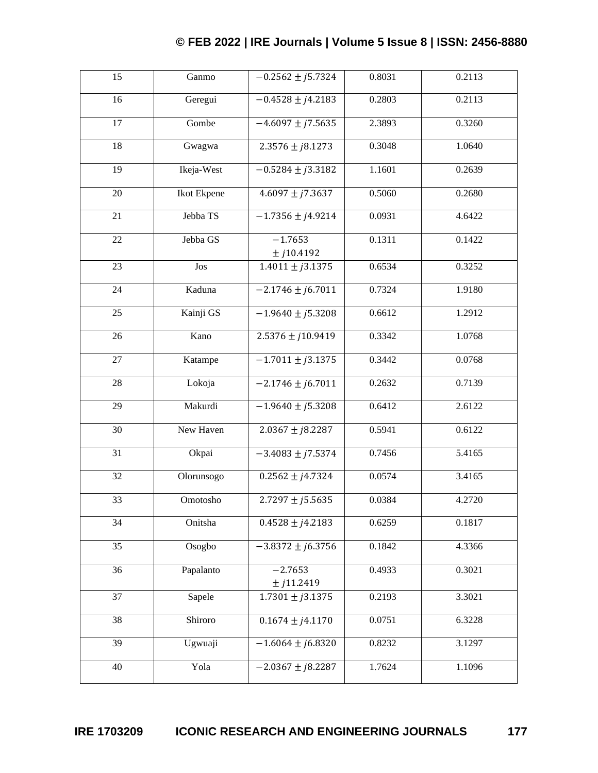# **© FEB 2022 | IRE Journals | Volume 5 Issue 8 | ISSN: 2456-8880**

| 15              | Ganmo       | $-0.2562 \pm j5.7324$     | 0.8031 | 0.2113 |
|-----------------|-------------|---------------------------|--------|--------|
| 16              | Geregui     | $-0.4528 \pm j4.2183$     | 0.2803 | 0.2113 |
| 17              | Gombe       | $-4.6097 \pm j7.5635$     | 2.3893 | 0.3260 |
| 18              | Gwagwa      | $2.3576 \pm j8.1273$      | 0.3048 | 1.0640 |
| 19              | Ikeja-West  | $-0.5284 \pm i 3.3182$    | 1.1601 | 0.2639 |
| 20              | Ikot Ekpene | $4.6097 \pm j7.3637$      | 0.5060 | 0.2680 |
| 21              | Jebba TS    | $-1.7356 \pm j4.9214$     | 0.0931 | 4.6422 |
| 22              | Jebba GS    | $-1.7653$<br>$±$ j10.4192 | 0.1311 | 0.1422 |
| 23              | Jos         | $1.4011 \pm j3.1375$      | 0.6534 | 0.3252 |
| 24              | Kaduna      | $-2.1746 \pm j6.7011$     | 0.7324 | 1.9180 |
| 25              | Kainji GS   | $-1.9640 \pm j5.3208$     | 0.6612 | 1.2912 |
| 26              | Kano        | $2.5376 \pm i10.9419$     | 0.3342 | 1.0768 |
| 27              | Katampe     | $-1.7011 \pm j3.1375$     | 0.3442 | 0.0768 |
| 28              | Lokoja      | $-2.1746 \pm j6.7011$     | 0.2632 | 0.7139 |
| 29              | Makurdi     | $-1.9640 \pm j5.3208$     | 0.6412 | 2.6122 |
| 30              | New Haven   | $2.0367 \pm j8.2287$      | 0.5941 | 0.6122 |
| 31              | Okpai       | $-3.4083 \pm j7.5374$     | 0.7456 | 5.4165 |
| 32              | Olorunsogo  | $0.2562 \pm j4.7324$      | 0.0574 | 3.4165 |
| 33              | Omotosho    | $2.7297 \pm j5.5635$      | 0.0384 | 4.2720 |
| 34              | Onitsha     | $0.4528 \pm j4.2183$      | 0.6259 | 0.1817 |
| $\overline{35}$ | Osogbo      | $-3.8372 \pm j6.3756$     | 0.1842 | 4.3366 |
| 36              | Papalanto   | $-2.7653$<br>$±$ j11.2419 | 0.4933 | 0.3021 |
| 37              | Sapele      | $1.7301 \pm j3.1375$      | 0.2193 | 3.3021 |
| 38              | Shiroro     | $0.1674 \pm j4.1170$      | 0.0751 | 6.3228 |
| 39              | Ugwuaji     | $-1.6064 \pm j6.8320$     | 0.8232 | 3.1297 |
| 40              | Yola        | $-2.0367 \pm j8.2287$     | 1.7624 | 1.1096 |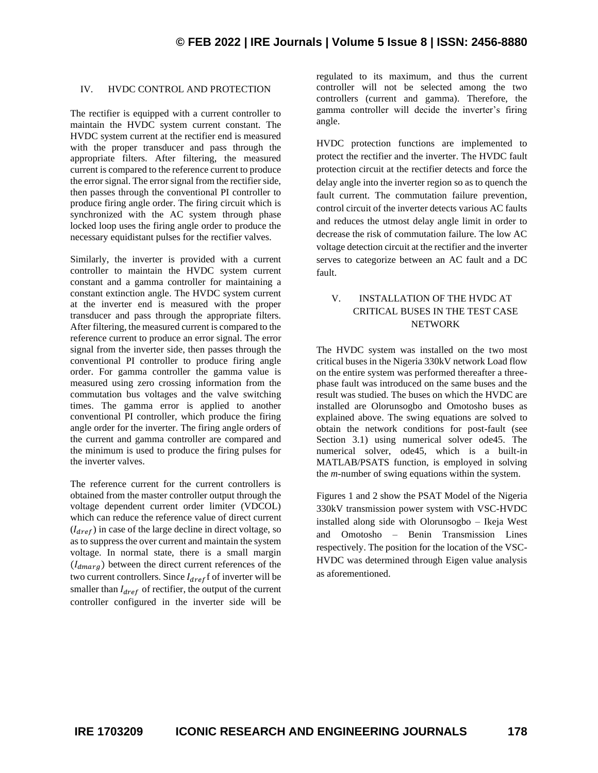#### IV. HVDC CONTROL AND PROTECTION

The rectifier is equipped with a current controller to maintain the HVDC system current constant. The HVDC system current at the rectifier end is measured with the proper transducer and pass through the appropriate filters. After filtering, the measured current is compared to the reference current to produce the error signal. The error signal from the rectifier side, then passes through the conventional PI controller to produce firing angle order. The firing circuit which is synchronized with the AC system through phase locked loop uses the firing angle order to produce the necessary equidistant pulses for the rectifier valves.

Similarly, the inverter is provided with a current controller to maintain the HVDC system current constant and a gamma controller for maintaining a constant extinction angle. The HVDC system current at the inverter end is measured with the proper transducer and pass through the appropriate filters. After filtering, the measured current is compared to the reference current to produce an error signal. The error signal from the inverter side, then passes through the conventional PI controller to produce firing angle order. For gamma controller the gamma value is measured using zero crossing information from the commutation bus voltages and the valve switching times. The gamma error is applied to another conventional PI controller, which produce the firing angle order for the inverter. The firing angle orders of the current and gamma controller are compared and the minimum is used to produce the firing pulses for the inverter valves.

The reference current for the current controllers is obtained from the master controller output through the voltage dependent current order limiter (VDCOL) which can reduce the reference value of direct current  $(I_{dref})$  in case of the large decline in direct voltage, so as to suppress the over current and maintain the system voltage. In normal state, there is a small margin  $(I_{dmarg})$  between the direct current references of the two current controllers. Since  $I_{dref}$  f of inverter will be smaller than  $I_{dref}$  of rectifier, the output of the current controller configured in the inverter side will be

regulated to its maximum, and thus the current controller will not be selected among the two controllers (current and gamma). Therefore, the gamma controller will decide the inverter's firing angle.

HVDC protection functions are implemented to protect the rectifier and the inverter. The HVDC fault protection circuit at the rectifier detects and force the delay angle into the inverter region so as to quench the fault current. The commutation failure prevention, control circuit of the inverter detects various AC faults and reduces the utmost delay angle limit in order to decrease the risk of commutation failure. The low AC voltage detection circuit at the rectifier and the inverter serves to categorize between an AC fault and a DC fault.

# V. INSTALLATION OF THE HVDC AT CRITICAL BUSES IN THE TEST CASE NETWORK

The HVDC system was installed on the two most critical buses in the Nigeria 330kV network Load flow on the entire system was performed thereafter a threephase fault was introduced on the same buses and the result was studied. The buses on which the HVDC are installed are Olorunsogbo and Omotosho buses as explained above. The swing equations are solved to obtain the network conditions for post-fault (see Section 3.1) using numerical solver ode45. The numerical solver, ode45, which is a built-in MATLAB/PSATS function, is employed in solving the *m*-number of swing equations within the system.

Figures 1 and 2 show the PSAT Model of the Nigeria 330kV transmission power system with VSC-HVDC installed along side with Olorunsogbo – Ikeja West and Omotosho – Benin Transmission Lines respectively. The position for the location of the VSC-HVDC was determined through Eigen value analysis as aforementioned.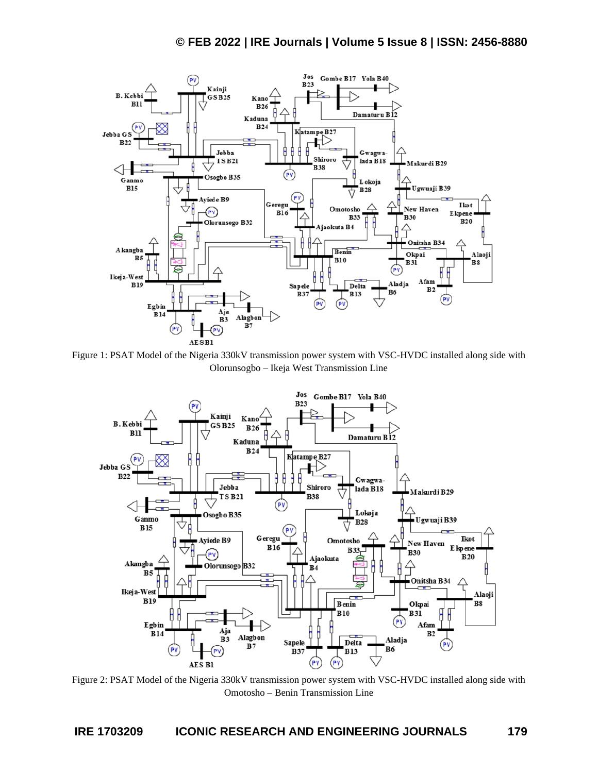

Figure 1: PSAT Model of the Nigeria 330kV transmission power system with VSC-HVDC installed along side with Olorunsogbo – Ikeja West Transmission Line



Figure 2: PSAT Model of the Nigeria 330kV transmission power system with VSC-HVDC installed along side with Omotosho – Benin Transmission Line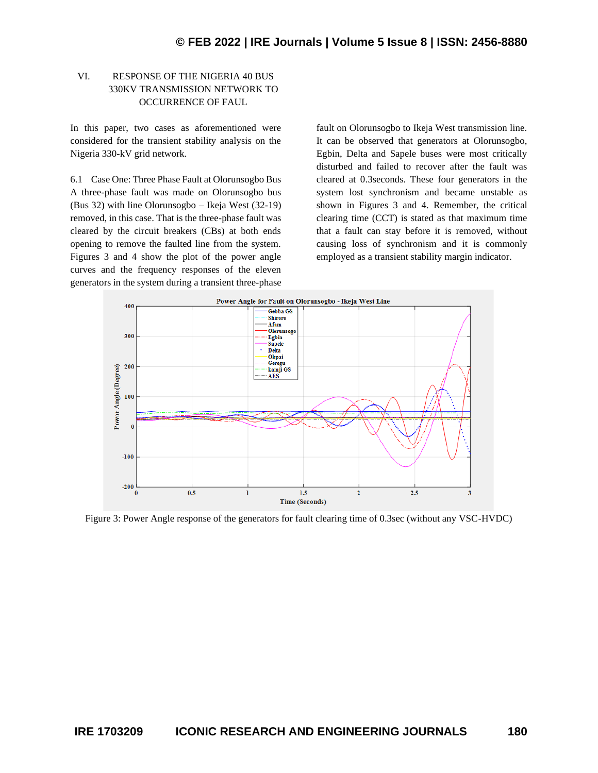# VI. RESPONSE OF THE NIGERIA 40 BUS 330KV TRANSMISSION NETWORK TO OCCURRENCE OF FAUL

In this paper, two cases as aforementioned were considered for the transient stability analysis on the Nigeria 330-kV grid network.

6.1 Case One: Three Phase Fault at Olorunsogbo Bus A three-phase fault was made on Olorunsogbo bus (Bus 32) with line Olorunsogbo – Ikeja West (32-19) removed, in this case. That is the three-phase fault was cleared by the circuit breakers (CBs) at both ends opening to remove the faulted line from the system. Figures 3 and 4 show the plot of the power angle curves and the frequency responses of the eleven generators in the system during a transient three-phase

fault on Olorunsogbo to Ikeja West transmission line. It can be observed that generators at Olorunsogbo, Egbin, Delta and Sapele buses were most critically disturbed and failed to recover after the fault was cleared at 0.3seconds. These four generators in the system lost synchronism and became unstable as shown in Figures 3 and 4. Remember, the critical clearing time (CCT) is stated as that maximum time that a fault can stay before it is removed, without causing loss of synchronism and it is commonly employed as a transient stability margin indicator.



Figure 3: Power Angle response of the generators for fault clearing time of 0.3sec (without any VSC-HVDC)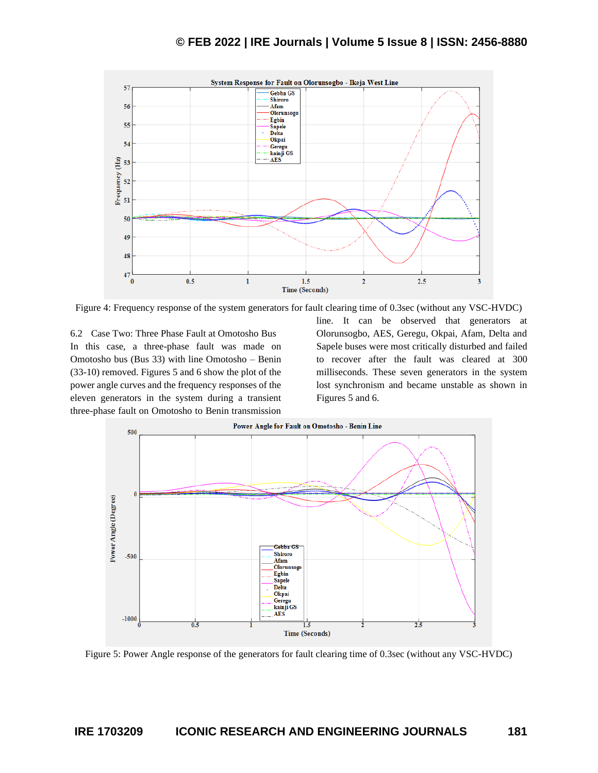

Figure 4: Frequency response of the system generators for fault clearing time of 0.3sec (without any VSC-HVDC)

6.2 Case Two: Three Phase Fault at Omotosho Bus In this case, a three-phase fault was made on Omotosho bus (Bus 33) with line Omotosho – Benin (33-10) removed. Figures 5 and 6 show the plot of the power angle curves and the frequency responses of the eleven generators in the system during a transient three-phase fault on Omotosho to Benin transmission

line. It can be observed that generators at Olorunsogbo, AES, Geregu, Okpai, Afam, Delta and Sapele buses were most critically disturbed and failed to recover after the fault was cleared at 300 milliseconds. These seven generators in the system lost synchronism and became unstable as shown in Figures 5 and 6.



Figure 5: Power Angle response of the generators for fault clearing time of 0.3sec (without any VSC-HVDC)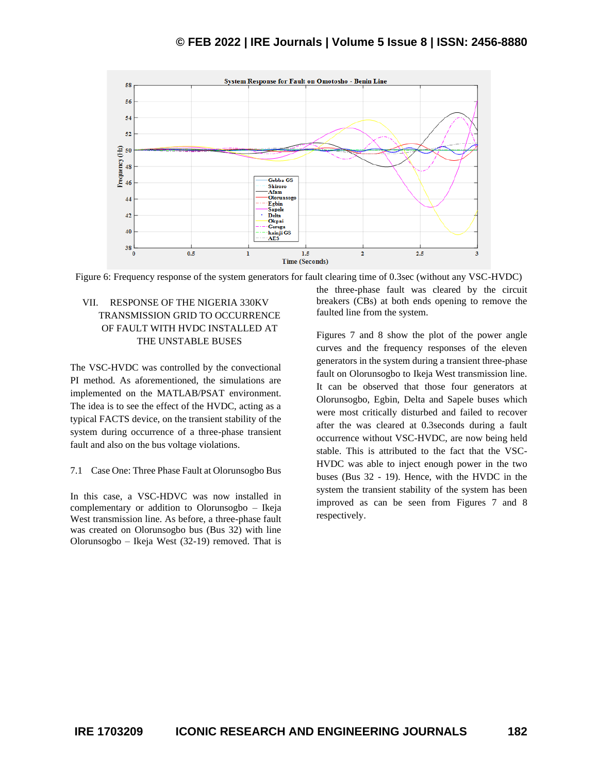

Figure 6: Frequency response of the system generators for fault clearing time of 0.3sec (without any VSC-HVDC)

# VII. RESPONSE OF THE NIGERIA 330KV TRANSMISSION GRID TO OCCURRENCE OF FAULT WITH HVDC INSTALLED AT THE UNSTABLE BUSES

The VSC-HVDC was controlled by the convectional PI method. As aforementioned, the simulations are implemented on the MATLAB/PSAT environment. The idea is to see the effect of the HVDC, acting as a typical FACTS device, on the transient stability of the system during occurrence of a three-phase transient fault and also on the bus voltage violations.

#### 7.1 Case One: Three Phase Fault at Olorunsogbo Bus

In this case, a VSC-HDVC was now installed in complementary or addition to Olorunsogbo – Ikeja West transmission line. As before, a three-phase fault was created on Olorunsogbo bus (Bus 32) with line Olorunsogbo – Ikeja West (32-19) removed. That is

the three-phase fault was cleared by the circuit breakers (CBs) at both ends opening to remove the faulted line from the system.

Figures 7 and 8 show the plot of the power angle curves and the frequency responses of the eleven generators in the system during a transient three-phase fault on Olorunsogbo to Ikeja West transmission line. It can be observed that those four generators at Olorunsogbo, Egbin, Delta and Sapele buses which were most critically disturbed and failed to recover after the was cleared at 0.3seconds during a fault occurrence without VSC-HVDC, are now being held stable. This is attributed to the fact that the VSC-HVDC was able to inject enough power in the two buses (Bus 32 - 19). Hence, with the HVDC in the system the transient stability of the system has been improved as can be seen from Figures 7 and 8 respectively.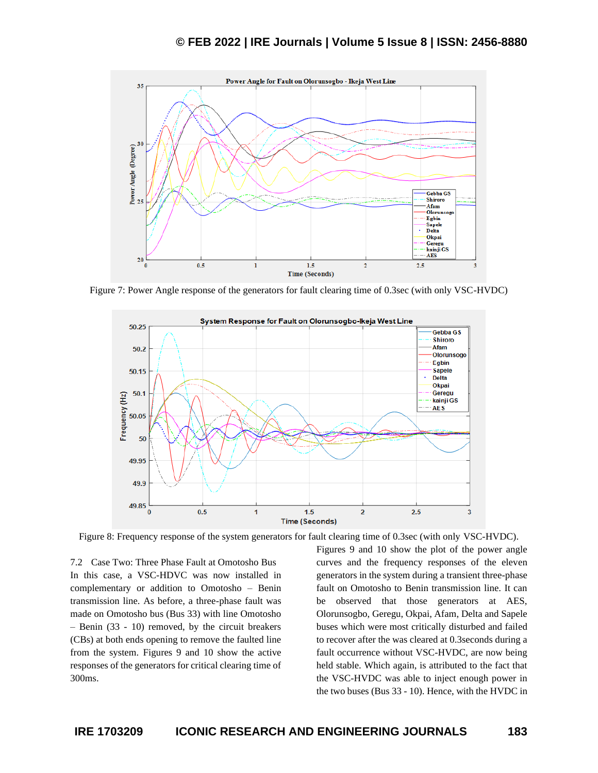

Figure 7: Power Angle response of the generators for fault clearing time of 0.3sec (with only VSC-HVDC)



Figure 8: Frequency response of the system generators for fault clearing time of 0.3sec (with only VSC-HVDC).

7.2 Case Two: Three Phase Fault at Omotosho Bus In this case, a VSC-HDVC was now installed in complementary or addition to Omotosho – Benin transmission line. As before, a three-phase fault was made on Omotosho bus (Bus 33) with line Omotosho – Benin (33 - 10) removed, by the circuit breakers (CBs) at both ends opening to remove the faulted line from the system. Figures 9 and 10 show the active responses of the generators for critical clearing time of 300ms.

Figures 9 and 10 show the plot of the power angle curves and the frequency responses of the eleven generators in the system during a transient three-phase fault on Omotosho to Benin transmission line. It can be observed that those generators at AES, Olorunsogbo, Geregu, Okpai, Afam, Delta and Sapele buses which were most critically disturbed and failed to recover after the was cleared at 0.3seconds during a fault occurrence without VSC-HVDC, are now being held stable. Which again, is attributed to the fact that the VSC-HVDC was able to inject enough power in the two buses (Bus 33 - 10). Hence, with the HVDC in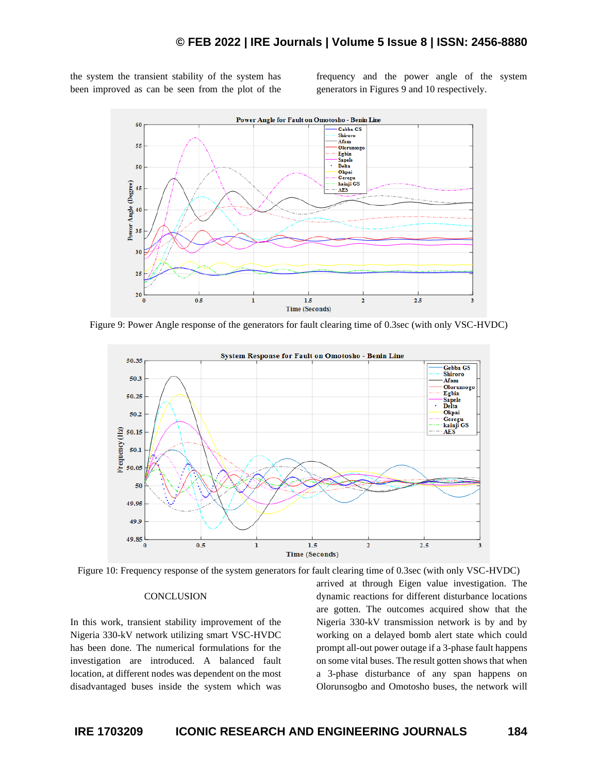the system the transient stability of the system has been improved as can be seen from the plot of the frequency and the power angle of the system generators in Figures 9 and 10 respectively.



Figure 9: Power Angle response of the generators for fault clearing time of 0.3sec (with only VSC-HVDC)



Figure 10: Frequency response of the system generators for fault clearing time of 0.3sec (with only VSC-HVDC)

#### **CONCLUSION**

In this work, transient stability improvement of the Nigeria 330-kV network utilizing smart VSC-HVDC has been done. The numerical formulations for the investigation are introduced. A balanced fault location, at different nodes was dependent on the most disadvantaged buses inside the system which was arrived at through Eigen value investigation. The dynamic reactions for different disturbance locations are gotten. The outcomes acquired show that the Nigeria 330-kV transmission network is by and by working on a delayed bomb alert state which could prompt all-out power outage if a 3-phase fault happens on some vital buses. The result gotten shows that when a 3-phase disturbance of any span happens on Olorunsogbo and Omotosho buses, the network will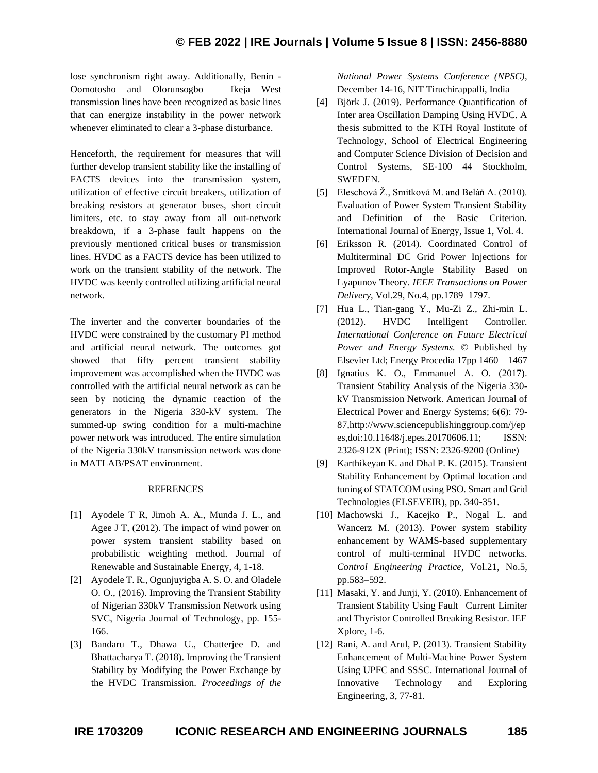lose synchronism right away. Additionally, Benin - Oomotosho and Olorunsogbo – Ikeja West transmission lines have been recognized as basic lines that can energize instability in the power network whenever eliminated to clear a 3-phase disturbance.

Henceforth, the requirement for measures that will further develop transient stability like the installing of FACTS devices into the transmission system, utilization of effective circuit breakers, utilization of breaking resistors at generator buses, short circuit limiters, etc. to stay away from all out-network breakdown, if a 3-phase fault happens on the previously mentioned critical buses or transmission lines. HVDC as a FACTS device has been utilized to work on the transient stability of the network. The HVDC was keenly controlled utilizing artificial neural network.

The inverter and the converter boundaries of the HVDC were constrained by the customary PI method and artificial neural network. The outcomes got showed that fifty percent transient stability improvement was accomplished when the HVDC was controlled with the artificial neural network as can be seen by noticing the dynamic reaction of the generators in the Nigeria 330-kV system. The summed-up swing condition for a multi-machine power network was introduced. The entire simulation of the Nigeria 330kV transmission network was done in MATLAB/PSAT environment.

#### REFRENCES

- [1] Ayodele T R, Jimoh A. A., Munda J. L., and Agee J T, (2012). The impact of wind power on power system transient stability based on probabilistic weighting method. Journal of Renewable and Sustainable Energy, 4, 1-18.
- [2] Ayodele T. R., Ogunjuyigba A. S. O. and Oladele O. O., (2016). Improving the Transient Stability of Nigerian 330kV Transmission Network using SVC, Nigeria Journal of Technology, pp. 155- 166.
- [3] Bandaru T., Dhawa U., Chatterjee D. and Bhattacharya T. (2018). Improving the Transient Stability by Modifying the Power Exchange by the HVDC Transmission. *Proceedings of the*

*National Power Systems Conference (NPSC)*, December 14-16, NIT Tiruchirappalli, India

- [4] Björk J. (2019). Performance Quantification of Inter area Oscillation Damping Using HVDC. A thesis submitted to the KTH Royal Institute of Technology, School of Electrical Engineering and Computer Science Division of Decision and Control Systems, SE-100 44 Stockholm, SWEDEN.
- [5] Eleschová Ž., Smitková M. and Beláň A. (2010). Evaluation of Power System Transient Stability and Definition of the Basic Criterion. International Journal of Energy, Issue 1, Vol. 4.
- [6] Eriksson R. (2014). Coordinated Control of Multiterminal DC Grid Power Injections for Improved Rotor-Angle Stability Based on Lyapunov Theory. *IEEE Transactions on Power Delivery*, Vol.29, No.4, pp.1789–1797.
- [7] Hua L., Tian-gang Y., Mu-Zi Z., Zhi-min L. (2012). HVDC Intelligent Controller. *International Conference on Future Electrical Power and Energy Systems.* © Published by Elsevier Ltd; Energy Procedia 17pp 1460 – 1467
- [8] Ignatius K. O., Emmanuel A. O. (2017). Transient Stability Analysis of the Nigeria 330 kV Transmission Network. American Journal of Electrical Power and Energy Systems; 6(6): 79- 87,http://www.sciencepublishinggroup.com/j/ep es,doi:10.11648/j.epes.20170606.11; ISSN: 2326-912X (Print); ISSN: 2326-9200 (Online)
- [9] Karthikeyan K. and Dhal P. K. (2015). Transient Stability Enhancement by Optimal location and tuning of STATCOM using PSO. Smart and Grid Technologies (ELSEVEIR), pp. 340-351.
- [10] Machowski J., Kacejko P., Nogal L. and Wancerz M. (2013). Power system stability enhancement by WAMS-based supplementary control of multi-terminal HVDC networks. *Control Engineering Practice*, Vol.21, No.5, pp.583–592.
- [11] Masaki, Y. and Junji, Y. (2010). Enhancement of Transient Stability Using Fault Current Limiter and Thyristor Controlled Breaking Resistor. IEE Xplore, 1-6.
- [12] Rani, A. and Arul, P. (2013). Transient Stability Enhancement of Multi-Machine Power System Using UPFC and SSSC. International Journal of Innovative Technology and Exploring Engineering, 3, 77-81.